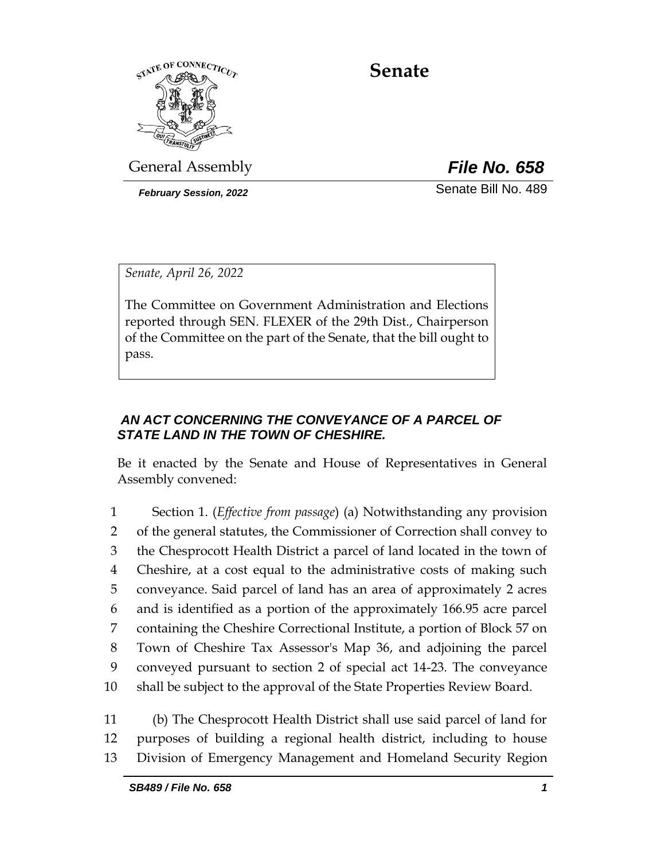

**Senate**

General Assembly *File No. 658*

*February Session, 2022* Senate Bill No. 489

*Senate, April 26, 2022*

The Committee on Government Administration and Elections reported through SEN. FLEXER of the 29th Dist., Chairperson of the Committee on the part of the Senate, that the bill ought to pass.

# *AN ACT CONCERNING THE CONVEYANCE OF A PARCEL OF STATE LAND IN THE TOWN OF CHESHIRE.*

Be it enacted by the Senate and House of Representatives in General Assembly convened:

 Section 1. (*Effective from passage*) (a) Notwithstanding any provision of the general statutes, the Commissioner of Correction shall convey to the Chesprocott Health District a parcel of land located in the town of Cheshire, at a cost equal to the administrative costs of making such conveyance. Said parcel of land has an area of approximately 2 acres and is identified as a portion of the approximately 166.95 acre parcel containing the Cheshire Correctional Institute, a portion of Block 57 on Town of Cheshire Tax Assessor's Map 36, and adjoining the parcel conveyed pursuant to section 2 of special act 14-23. The conveyance shall be subject to the approval of the State Properties Review Board.

11 (b) The Chesprocott Health District shall use said parcel of land for 12 purposes of building a regional health district, including to house 13 Division of Emergency Management and Homeland Security Region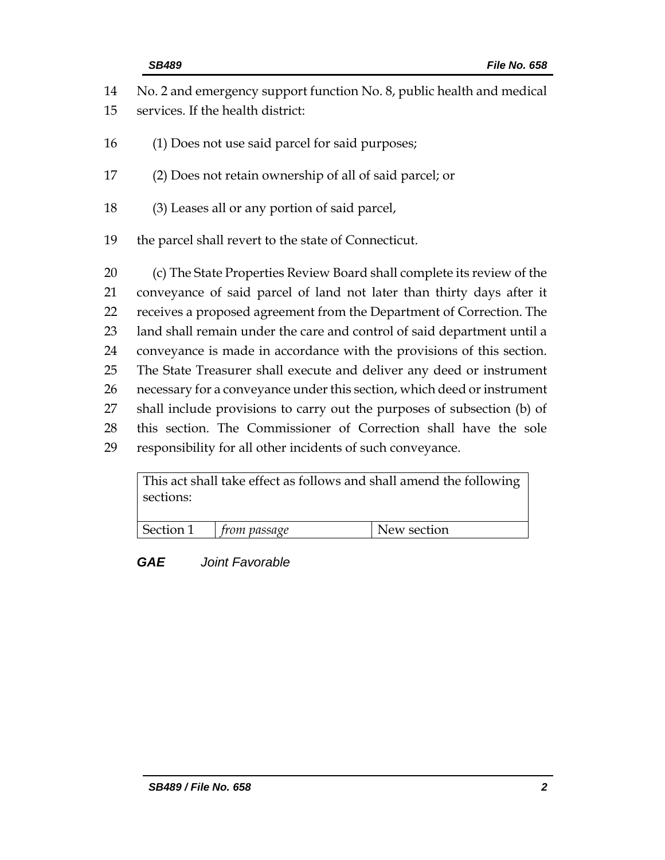| 14 | No. 2 and emergency support function No. 8, public health and medical   |
|----|-------------------------------------------------------------------------|
| 15 | services. If the health district:                                       |
| 16 | (1) Does not use said parcel for said purposes;                         |
| 17 | (2) Does not retain ownership of all of said parcel; or                 |
| 18 | (3) Leases all or any portion of said parcel,                           |
| 19 | the parcel shall revert to the state of Connecticut.                    |
| 20 | (c) The State Properties Review Board shall complete its review of the  |
| 21 | conveyance of said parcel of land not later than thirty days after it   |
| 22 | receives a proposed agreement from the Department of Correction. The    |
| 23 | land shall remain under the care and control of said department until a |
| 24 | conveyance is made in accordance with the provisions of this section.   |
| 25 | The State Treasurer shall execute and deliver any deed or instrument    |
| 26 | necessary for a conveyance under this section, which deed or instrument |
| 27 | shall include provisions to carry out the purposes of subsection (b) of |
| 28 | this section. The Commissioner of Correction shall have the sole        |
| 29 | responsibility for all other incidents of such conveyance.              |

This act shall take effect as follows and shall amend the following sections:

|--|

*GAE Joint Favorable*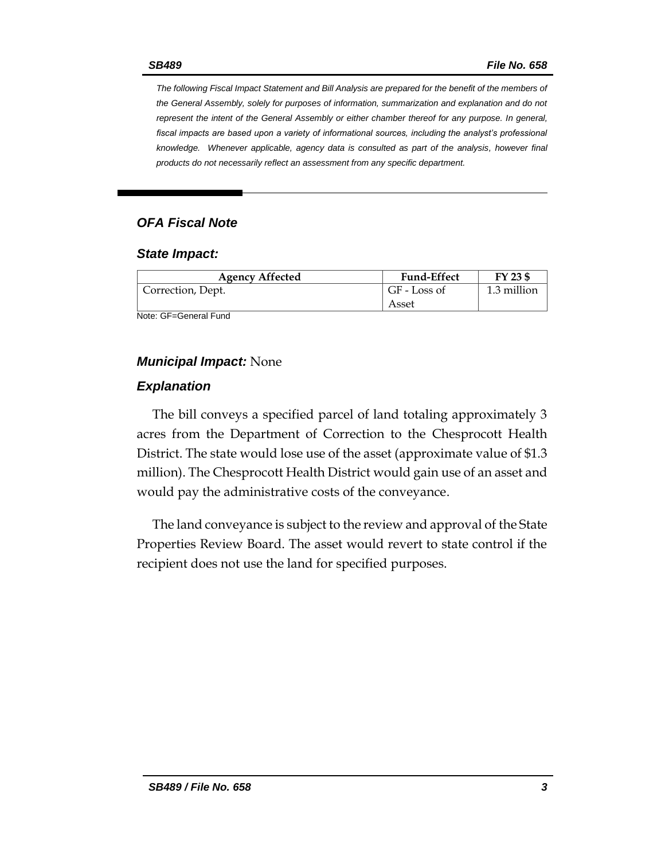*The following Fiscal Impact Statement and Bill Analysis are prepared for the benefit of the members of the General Assembly, solely for purposes of information, summarization and explanation and do not represent the intent of the General Assembly or either chamber thereof for any purpose. In general,*  fiscal impacts are based upon a variety of informational sources, including the analyst's professional *knowledge. Whenever applicable, agency data is consulted as part of the analysis, however final products do not necessarily reflect an assessment from any specific department.*

## *OFA Fiscal Note*

#### *State Impact:*

| <b>Agency Affected</b> | <b>Fund-Effect</b> | FY 23 \$    |
|------------------------|--------------------|-------------|
| Correction, Dept.      | GF - Loss of       | 1.3 million |
|                        | Asset              |             |

Note: GF=General Fund

### *Municipal Impact:* None

### *Explanation*

The bill conveys a specified parcel of land totaling approximately 3 acres from the Department of Correction to the Chesprocott Health District. The state would lose use of the asset (approximate value of \$1.3 million). The Chesprocott Health District would gain use of an asset and would pay the administrative costs of the conveyance.

The land conveyance is subject to the review and approval of the State Properties Review Board. The asset would revert to state control if the recipient does not use the land for specified purposes.